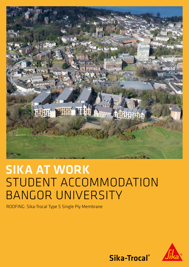

# SIKA AT WORK STUDENT ACCOMMODATION BANGOR UNIVERSITY

ROOFING: Sika-Trocal Type S Single Ply Membrane



Sika-Trocal®